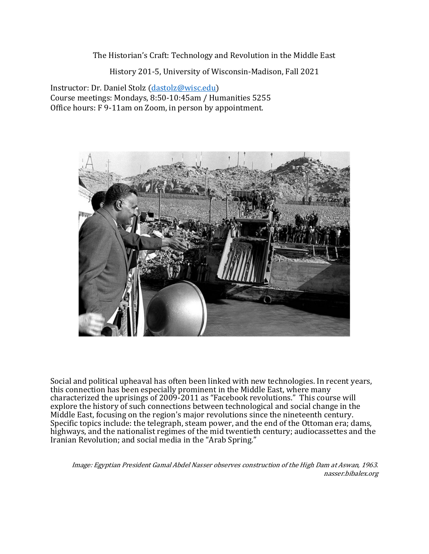The Historian's Craft: Technology and Revolution in the Middle East

History 201-5, University of Wisconsin-Madison, Fall 2021

Instructor: Dr. Daniel Stolz (dastolz@wisc.edu) Course meetings: Mondays, 8:50-10:45am / Humanities 5255 Office hours: F 9-11am on Zoom, in person by appointment.



Social and political upheaval has often been linked with new technologies. In recent years, this connection has been especially prominent in the Middle East, where many characterized the uprisings of 2009-2011 as "Facebook revolutions." This course will explore the history of such connections between technological and social change in the Middle East, focusing on the region's major revolutions since the nineteenth century. Specific topics include: the telegraph, steam power, and the end of the Ottoman era; dams, highways, and the nationalist regimes of the mid twentieth century; audiocassettes and the Iranian Revolution; and social media in the "Arab Spring."

Image: Egyptian President Gamal Abdel Nasser observes construction of the High Dam at Aswan, 1963. nasser.bibalex.org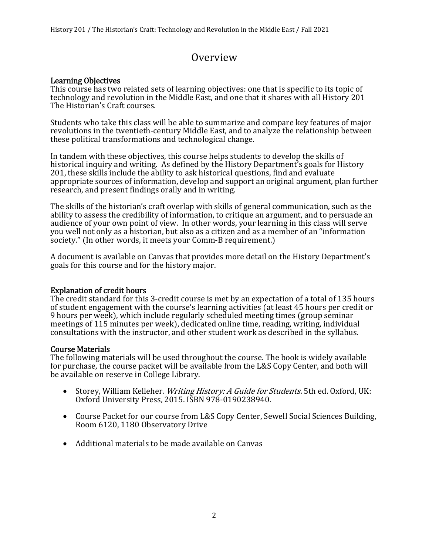# Overview

#### Learning Objectives

This course has two related sets of learning objectives: one that is specific to its topic of technology and revolution in the Middle East, and one that it shares with all History 201 The Historian's Craft courses.

Students who take this class will be able to summarize and compare key features of major revolutions in the twentieth-century Middle East, and to analyze the relationship between these political transformations and technological change.

In tandem with these objectives, this course helps students to develop the skills of historical inquiry and writing. As defined by the History Department's goals for History 201, these skills include the ability to ask historical questions, find and evaluate appropriate sources of information, develop and support an original argument, plan further research, and present findings orally and in writing.

The skills of the historian's craft overlap with skills of general communication, such as the ability to assess the credibility of information, to critique an argument, and to persuade an audience of your own point of view. In other words, your learning in this class will serve you well not only as a historian, but also as a citizen and as a member of an "information society." (In other words, it meets your Comm-B requirement.)

A document is available on Canvas that provides more detail on the History Department's goals for this course and for the history major.

#### Explanation of credit hours

The credit standard for this 3-credit course is met by an expectation of a total of 135 hours of student engagement with the course's learning activities (at least 45 hours per credit or 9 hours per week), which include regularly scheduled meeting times (group seminar meetings of 115 minutes per week), dedicated online time, reading, writing, individual consultations with the instructor, and other student work as described in the syllabus.

#### Course Materials

The following materials will be used throughout the course. The book is widely available for purchase, the course packet will be available from the L&S Copy Center, and both will be available on reserve in College Library.

- Storey, William Kelleher. *Writing History: A Guide for Students.* 5th ed. Oxford, UK: Oxford University Press, 2015. ISBN 978-0190238940.
- Course Packet for our course from L&S Copy Center, Sewell Social Sciences Building, Room 6120, 1180 Observatory Drive
- Additional materials to be made available on Canvas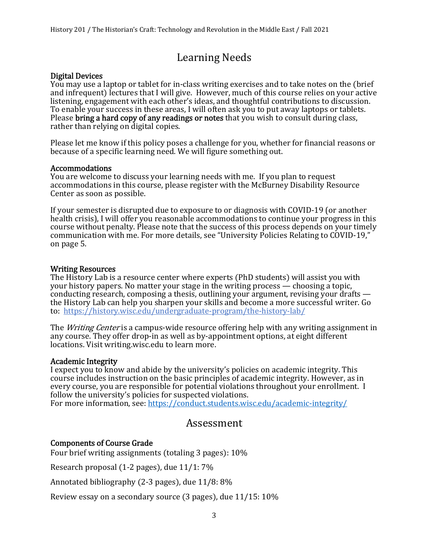# Learning Needs Digital Devices

You may use a laptop or tablet for in-class writing exercises and to take notes on the (brief and infrequent) lectures that I will give. However, much of this course relies on your active listening, engagement with each other's ideas, and thoughtful contributions to discussion. To enable your success in these areas, I will often ask you to put away laptops or tablets. Please bring a hard copy of any readings or notes that you wish to consult during class, rather than relying on digital copies.

Please let me know if this policy poses a challenge for you, whether for financial reasons or because of a specific learning need. We will figure something out.

#### Accommodations

You are welcome to discuss your learning needs with me. If you plan to request accommodations in this course, please register with the McBurney Disability Resource Center as soon as possible.

If your semester is disrupted due to exposure to or diagnosis with COVID-19 (or another health crisis), I will offer you reasonable accommodations to continue your progress in this course without penalty. Please note that the success of this process depends on your timely communication with me. For more details, see "University Policies Relating to COVID-19," on page 5.

#### Writing Resources

The History Lab is a resource center where experts (PhD students) will assist you with your history papers. No matter your stage in the writing process — choosing a topic, conducting research, composing a thesis, outlining your argument, revising your drafts the History Lab can help you sharpen your skills and become a more successful writer. Go to: https://history.wisc.edu/undergraduate-program/the-history-lab/

The *Writing Center* is a campus-wide resource offering help with any writing assignment in any course. They offer drop-in as well as by-appointment options, at eight different locations. Visit writing.wisc.edu to learn more.

#### Academic Integrity

I expect you to know and abide by the university's policies on academic integrity. This course includes instruction on the basic principles of academic integrity. However, as in every course, you are responsible for potential violations throughout your enrollment. I follow the university's policies for suspected violations.

For more information, see: https://conduct.students.wisc.edu/academic-integrity/

## Assessment

#### Components of Course Grade

Four brief writing assignments (totaling 3 pages):  $10\%$ 

Research proposal  $(1-2)$  pages), due  $11/1: 7\%$ 

Annotated bibliography  $(2-3 \text{ pages})$ , due  $11/8: 8\%$ 

Review essay on a secondary source  $(3 \text{ pages})$ , due  $11/15: 10\%$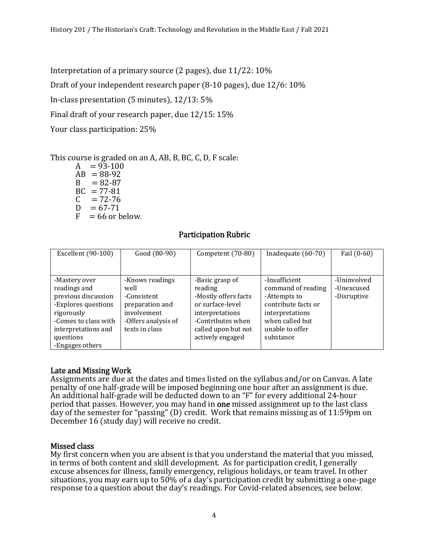Interpretation of a primary source  $(2 \text{ pages})$ , due  $11/22: 10\%$ 

Draft of your independent research paper  $(8-10 \text{ pages})$ , due  $12/6: 10\%$ 

In-class presentation  $(5 \text{ minutes})$ ,  $12/13: 5\%$ 

Final draft of your research paper, due 12/15: 15%

Your class participation: 25%

This course is graded on an A, AB, B, BC, C, D, F scale:

 $A = 93-100$  $AB = 88-92$  $B = 82-87$  $BC = 77-81$  $C = 72-76$  $D = 67 - 71$  $F = 66$  or below.

#### Participation Rubric

| Excellent (90-100)   | Good (80-90)        | Competent (70-80)    | Inadequate (60-70)  | Fail (0-60) |
|----------------------|---------------------|----------------------|---------------------|-------------|
|                      |                     |                      |                     |             |
| -Mastery over        | -Knows readings     | -Basic grasp of      | -Insufficient       | -Uninvolved |
| readings and         | well                | reading              | command of reading  | -Unexcused  |
| previous discussion  | -Consistent         | -Mostly offers facts | -Attempts to        | -Disruptive |
| -Explores questions  | preparation and     | or surface-level     | contribute facts or |             |
| rigorously           | involvement         | interpretations      | interpretations     |             |
| -Comes to class with | -Offers analysis of | -Contributes when    | when called but     |             |
| interpretations and  | texts in class      | called upon but not  | unable to offer     |             |
| questions            |                     | actively engaged     | substance           |             |
| -Engages others      |                     |                      |                     |             |

#### Late and Missing Work

Assignments are due at the dates and times listed on the syllabus and/or on Canvas. A late penalty of one half-grade will be imposed beginning one hour after an assignment is due. An additional half-grade will be deducted down to an "F" for every additional 24-hour period that passes. However, you may hand in one missed assignment up to the last class day of the semester for "passing"  $(D)$  credit. Work that remains missing as of 11:59pm on December 16 (study day) will receive no credit.

#### Missed class

My first concern when you are absent is that you understand the material that you missed, in terms of both content and skill development. As for participation credit, I generally excuse absences for illness, family emergency, religious holidays, or team travel. In other situations, you may earn up to 50% of a day's participation credit by submitting a one-page response to a question about the day's readings. For Covid-related absences, see below.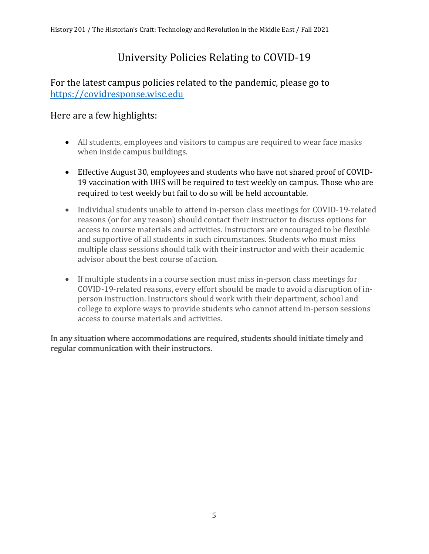# University Policies Relating to COVID-19

# For the latest campus policies related to the pandemic, please go to https://covidresponse.wisc.edu

# Here are a few highlights:

- All students, employees and visitors to campus are required to wear face masks when inside campus buildings.
- Effective August 30, employees and students who have not shared proof of COVID-19 vaccination with UHS will be required to test weekly on campus. Those who are required to test weekly but fail to do so will be held accountable.
- Individual students unable to attend in-person class meetings for COVID-19-related reasons (or for any reason) should contact their instructor to discuss options for access to course materials and activities. Instructors are encouraged to be flexible and supportive of all students in such circumstances. Students who must miss multiple class sessions should talk with their instructor and with their academic advisor about the best course of action.
- If multiple students in a course section must miss in-person class meetings for COVID-19-related reasons, every effort should be made to avoid a disruption of inperson instruction. Instructors should work with their department, school and college to explore ways to provide students who cannot attend in-person sessions access to course materials and activities.

In any situation where accommodations are required, students should initiate timely and regular communication with their instructors.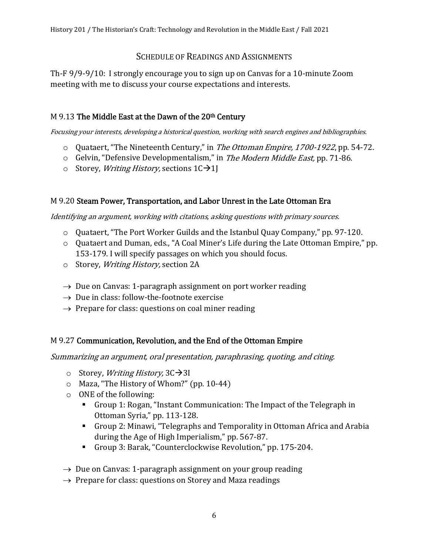#### SCHEDULE OF READINGS AND ASSIGNMENTS

Th-F 9/9-9/10: I strongly encourage you to sign up on Canvas for a 10-minute Zoom meeting with me to discuss your course expectations and interests.

#### M 9.13 The Middle East at the Dawn of the  $20<sup>th</sup>$  Century

Focusing your interests, developing a historical question, working with search engines and bibliographies.

- o Quataert, "The Nineteenth Century," in The Ottoman Empire, 1700-1922, pp. 54-72.
- o Gelvin, "Defensive Developmentalism," in The Modern Middle East, pp. 71-86.
- o Storey, *Writing History*, sections  $1C\rightarrow1$

#### M 9.20 Steam Power, Transportation, and Labor Unrest in the Late Ottoman Era

Identifying an argument, working with citations, asking questions with primary sources.

- $\circ$  Ouataert, "The Port Worker Guilds and the Istanbul Quay Company," pp. 97-120.
- o Quataert and Duman, eds., "A Coal Miner's Life during the Late Ottoman Empire," pp. 153-179. I will specify passages on which you should focus.
- o Storey, Writing History, section 2A
- $\rightarrow$  Due on Canvas: 1-paragraph assignment on port worker reading
- $\rightarrow$  Due in class: follow-the-footnote exercise
- $\rightarrow$  Prepare for class: questions on coal miner reading

### M 9.27 Communication, Revolution, and the End of the Ottoman Empire

Summarizing an argument, oral presentation, paraphrasing, quoting, and citing.

- o Storey, *Writing History*,  $3C\rightarrow3I$
- o Maza, "The History of Whom?" (pp. 10-44)
- o ONE of the following:
	- Group 1: Rogan, "Instant Communication: The Impact of the Telegraph in Ottoman Syria," pp. 113-128.
	- Group 2: Minawi, "Telegraphs and Temporality in Ottoman Africa and Arabia during the Age of High Imperialism," pp. 567-87.
	- Group 3: Barak, "Counterclockwise Revolution," pp. 175-204.
- $\rightarrow$  Due on Canvas: 1-paragraph assignment on your group reading
- $\rightarrow$  Prepare for class: questions on Storey and Maza readings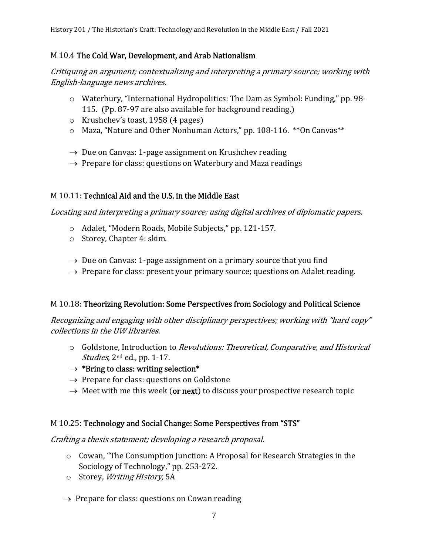#### M 10.4 The Cold War, Development, and Arab Nationalism

Critiquing an argument; contextualizing and interpreting a primary source; working with English-language news archives.

- o Waterbury, "International Hydropolitics: The Dam as Symbol: Funding," pp. 98- 115. (Pp. 87-97 are also available for background reading.)
- $\circ$  Krushchev's toast, 1958 (4 pages)
- o Maza, "Nature and Other Nonhuman Actors," pp. 108-116. \*\*On Canvas\*\*
- $\rightarrow$  Due on Canvas: 1-page assignment on Krushchev reading
- $\rightarrow$  Prepare for class: questions on Waterbury and Maza readings

#### M 10.11: Technical Aid and the U.S. in the Middle East

Locating and interpreting a primary source; using digital archives of diplomatic papers.

- o Adalet, "Modern Roads, Mobile Subjects," pp. 121-157.
- o Storey, Chapter 4: skim.
- $\rightarrow$  Due on Canvas: 1-page assignment on a primary source that you find
- $\rightarrow$  Prepare for class: present your primary source; questions on Adalet reading.

### M 10.18: Theorizing Revolution: Some Perspectives from Sociology and Political Science

Recognizing and engaging with other disciplinary perspectives; working with "hard copy" collections in the UW libraries.

- o Goldstone, Introduction to Revolutions: Theoretical, Comparative, and Historical Studies, 2<sup>nd</sup> ed., pp. 1-17.
- $\rightarrow$  \*Bring to class: writing selection\*
- $\rightarrow$  Prepare for class: questions on Goldstone
- $\rightarrow$  Meet with me this week (or next) to discuss your prospective research topic

### M 10.25: Technology and Social Change: Some Perspectives from "STS"

Crafting a thesis statement; developing a research proposal.

- o Cowan, "The Consumption Junction: A Proposal for Research Strategies in the Sociology of Technology," pp. 253-272.
- o Storey, Writing History, 5A
- $\rightarrow$  Prepare for class: questions on Cowan reading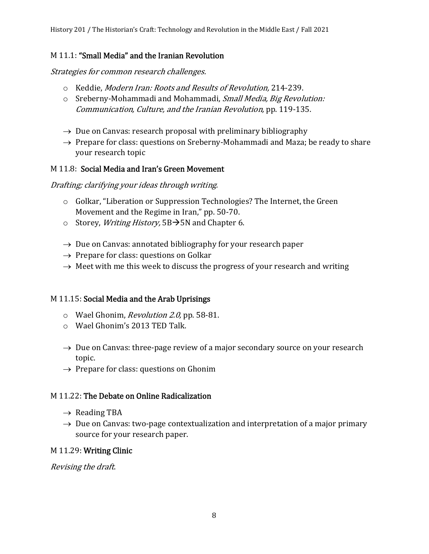#### M 11.1: "Small Media" and the Iranian Revolution

Strategies for common research challenges.

- o Keddie, Modern Iran: Roots and Results of Revolution, 214-239.
- o Sreberny-Mohammadi and Mohammadi, Small Media, Big Revolution: Communication, Culture, and the Iranian Revolution, pp. 119-135.
- $\rightarrow$  Due on Canvas: research proposal with preliminary bibliography
- $\rightarrow$  Prepare for class: questions on Sreberny-Mohammadi and Maza; be ready to share your research topic

#### M 11.8: Social Media and Iran's Green Movement

Drafting; clarifying your ideas through writing.

- o Golkar, "Liberation or Suppression Technologies? The Internet, the Green Movement and the Regime in Iran," pp. 50-70.
- o Storey, *Writing History*,  $5B\rightarrow 5N$  and Chapter 6.
- $\rightarrow$  Due on Canvas: annotated bibliography for your research paper
- $\rightarrow$  Prepare for class: questions on Golkar
- $\rightarrow$  Meet with me this week to discuss the progress of your research and writing

### M 11.15: Social Media and the Arab Uprisings

- o Wael Ghonim, Revolution 2.0, pp. 58-81.
- o Wael Ghonim's 2013 TED Talk.
- $\rightarrow$  Due on Canvas: three-page review of a major secondary source on your research topic.
- $\rightarrow$  Prepare for class: questions on Ghonim

#### M 11.22: The Debate on Online Radicalization

- $\rightarrow$  Reading TBA
- $\rightarrow$  Due on Canvas: two-page contextualization and interpretation of a major primary source for your research paper.

#### M 11.29: Writing Clinic

Revising the draft.